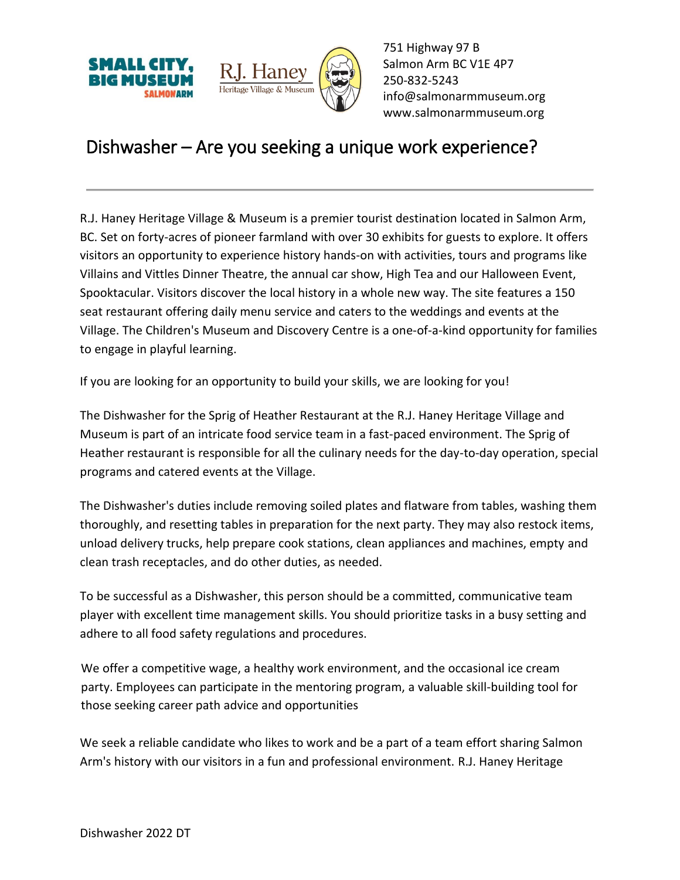



751 Highway 97 B Salmon Arm BC V1E 4P7 250-832-5243 [info@salmonarmmuseum.org](mailto:info@salmonarmmuseum.org) www.salmonarmmuseum.org

## Dishwasher – Are you seeking a unique work experience?

R.J. Haney Heritage Village & Museum is a premier tourist destination located in Salmon Arm, BC. Set on forty-acres of pioneer farmland with over 30 exhibits for guests to explore. It offers visitors an opportunity to experience history hands-on with activities, tours and programs like Villains and Vittles Dinner Theatre, the annual car show, High Tea and our Halloween Event, Spooktacular. Visitors discover the local history in a whole new way. The site features a 150 seat restaurant offering daily menu service and caters to the weddings and events at the Village. The Children's Museum and Discovery Centre is a one-of-a-kind opportunity for families to engage in playful learning.

If you are looking for an opportunity to build your skills, we are looking for you!

The Dishwasher for the Sprig of Heather Restaurant at the R.J. Haney Heritage Village and Museum is part of an intricate food service team in a fast-paced environment. The Sprig of Heather restaurant is responsible for all the culinary needs for the day-to-day operation, special programs and catered events at the Village.

The Dishwasher's duties include removing soiled plates and flatware from tables, washing them thoroughly, and resetting tables in preparation for the next party. They may also restock items, unload delivery trucks, help prepare cook stations, clean appliances and machines, empty and clean trash receptacles, and do other duties, as needed.

To be successful as a Dishwasher, this person should be a committed, communicative team player with excellent time management skills. You should prioritize tasks in a busy setting and adhere to all food safety regulations and procedures.

We offer a competitive wage, a healthy work environment, and the occasional ice cream party. Employees can participate in the mentoring program, a valuable skill-building tool for those seeking career path advice and opportunities

We seek a reliable candidate who likes to work and be a part of a team effort sharing Salmon Arm's history with our visitors in a fun and professional environment. R.J. Haney Heritage